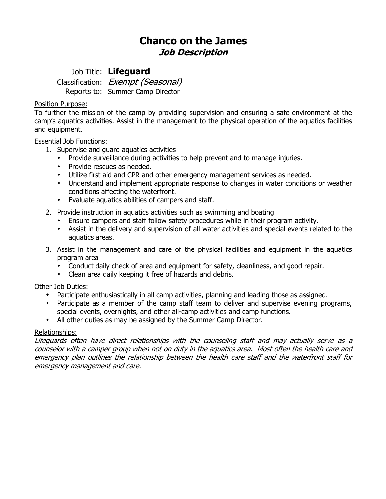# **Chanco on the James Job Description**

## Job Title: **Lifeguard**

Classification: Exempt (Seasonal) Reports to: Summer Camp Director

#### Position Purpose:

To further the mission of the camp by providing supervision and ensuring a safe environment at the camp's aquatics activities. Assist in the management to the physical operation of the aquatics facilities and equipment.

#### Essential Job Functions:

- 1. Supervise and guard aquatics activities
	- Provide surveillance during activities to help prevent and to manage injuries.
	- Provide rescues as needed.
	- Utilize first aid and CPR and other emergency management services as needed.
	- Understand and implement appropriate response to changes in water conditions or weather conditions affecting the waterfront.
	- Evaluate aquatics abilities of campers and staff.
- 2. Provide instruction in aquatics activities such as swimming and boating
	- Ensure campers and staff follow safety procedures while in their program activity.
	- Assist in the delivery and supervision of all water activities and special events related to the aquatics areas.
- 3. Assist in the management and care of the physical facilities and equipment in the aquatics program area
	- Conduct daily check of area and equipment for safety, cleanliness, and good repair.
	- Clean area daily keeping it free of hazards and debris.

### Other Job Duties:

- Participate enthusiastically in all camp activities, planning and leading those as assigned.
- Participate as a member of the camp staff team to deliver and supervise evening programs, special events, overnights, and other all-camp activities and camp functions.
- All other duties as may be assigned by the Summer Camp Director.

#### Relationships:

Lifeguards often have direct relationships with the counseling staff and may actually serve as a counselor with a camper group when not on duty in the aquatics area. Most often the health care and emergency plan outlines the relationship between the health care staff and the waterfront staff for emergency management and care.